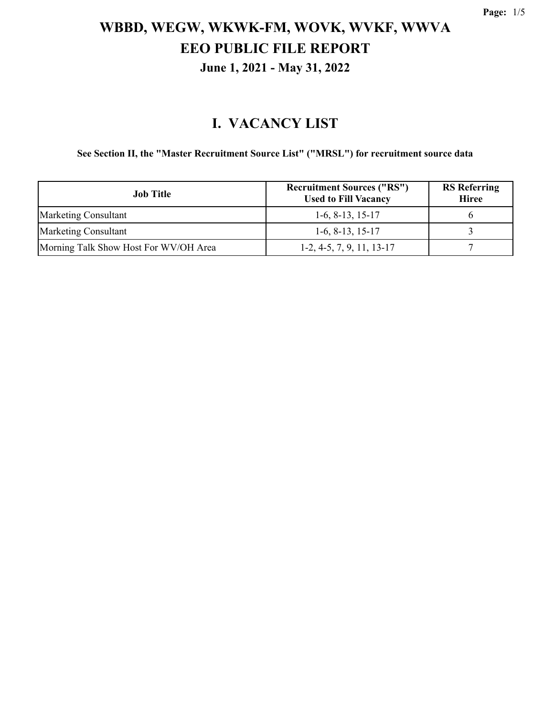#### **I. VACANCY LIST**

**See Section II, the "Master Recruitment Source List" ("MRSL") for recruitment source data**

| Job Title                             | <b>Recruitment Sources ("RS")</b><br><b>Used to Fill Vacancy</b> | <b>RS</b> Referring<br><b>Hiree</b> |
|---------------------------------------|------------------------------------------------------------------|-------------------------------------|
| <b>Marketing Consultant</b>           | $1-6, 8-13, 15-17$                                               |                                     |
| <b>Marketing Consultant</b>           | $1-6, 8-13, 15-17$                                               |                                     |
| Morning Talk Show Host For WV/OH Area | $1-2, 4-5, 7, 9, 11, 13-17$                                      |                                     |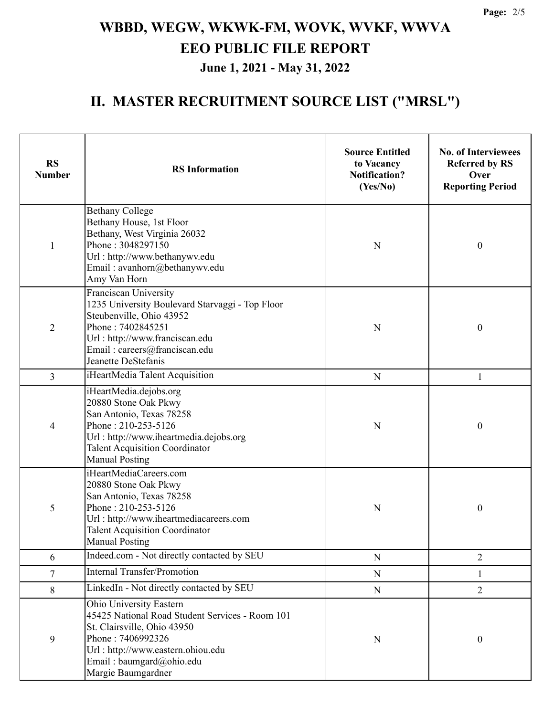### **II. MASTER RECRUITMENT SOURCE LIST ("MRSL")**

| <b>RS</b><br><b>Number</b> | <b>RS</b> Information                                                                                                                                                                                                        | <b>Source Entitled</b><br>to Vacancy<br><b>Notification?</b><br>(Yes/No) | <b>No. of Interviewees</b><br><b>Referred by RS</b><br>Over<br><b>Reporting Period</b> |
|----------------------------|------------------------------------------------------------------------------------------------------------------------------------------------------------------------------------------------------------------------------|--------------------------------------------------------------------------|----------------------------------------------------------------------------------------|
| $\mathbf{1}$               | <b>Bethany College</b><br>Bethany House, 1st Floor<br>Bethany, West Virginia 26032<br>Phone: 3048297150<br>Url: http://www.bethanywv.edu<br>Email: avanhorn@bethanywv.edu<br>Amy Van Horn                                    | N                                                                        | $\boldsymbol{0}$                                                                       |
| $\overline{2}$             | Franciscan University<br>1235 University Boulevard Starvaggi - Top Floor<br>Steubenville, Ohio 43952<br>Phone: 7402845251<br>Url: http://www.franciscan.edu<br>Email: careers@franciscan.edu<br>Jeanette DeStefanis          | N                                                                        | $\boldsymbol{0}$                                                                       |
| 3                          | iHeartMedia Talent Acquisition                                                                                                                                                                                               | $\mathbf N$                                                              | $\mathbf{1}$                                                                           |
| 4                          | iHeartMedia.dejobs.org<br>20880 Stone Oak Pkwy<br>San Antonio, Texas 78258<br>Phone: 210-253-5126<br>Url: http://www.iheartmedia.dejobs.org<br><b>Talent Acquisition Coordinator</b><br><b>Manual Posting</b>                | ${\bf N}$                                                                | $\boldsymbol{0}$                                                                       |
| 5                          | iHeartMediaCareers.com<br>20880 Stone Oak Pkwy<br>San Antonio, Texas 78258<br>Phone: 210-253-5126<br>Url: http://www.iheartmediacareers.com<br><b>Talent Acquisition Coordinator</b><br><b>Manual Posting</b>                | N                                                                        | $\boldsymbol{0}$                                                                       |
| 6                          | Indeed.com - Not directly contacted by SEU                                                                                                                                                                                   | ${\bf N}$                                                                | $\overline{2}$                                                                         |
| 7                          | <b>Internal Transfer/Promotion</b>                                                                                                                                                                                           | ${\bf N}$                                                                | 1                                                                                      |
| 8                          | LinkedIn - Not directly contacted by SEU                                                                                                                                                                                     | ${\bf N}$                                                                | $\overline{2}$                                                                         |
| 9                          | <b>Ohio University Eastern</b><br>45425 National Road Student Services - Room 101<br>St. Clairsville, Ohio 43950<br>Phone: 7406992326<br>Url: http://www.eastern.ohiou.edu<br>Email: baumgard@ohio.edu<br>Margie Baumgardner | N                                                                        | $\boldsymbol{0}$                                                                       |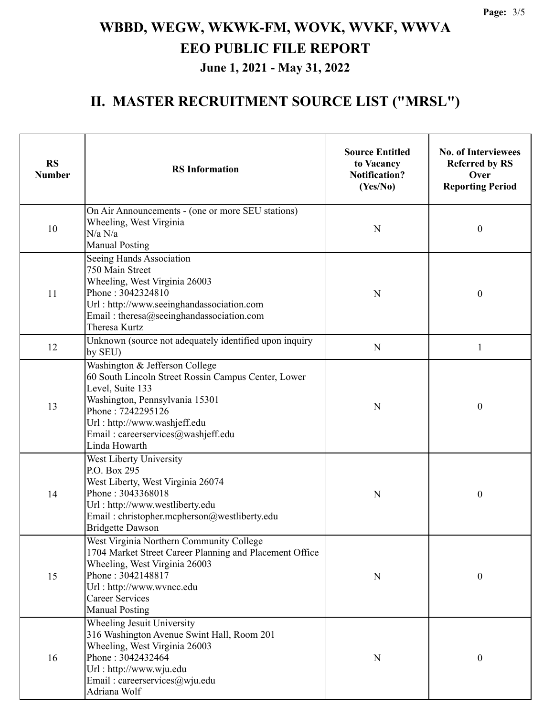### **II. MASTER RECRUITMENT SOURCE LIST ("MRSL")**

| <b>RS</b><br><b>Number</b> | <b>RS</b> Information                                                                                                                                                                                                                                   | <b>Source Entitled</b><br>to Vacancy<br><b>Notification?</b><br>(Yes/No) | <b>No. of Interviewees</b><br><b>Referred by RS</b><br>Over<br><b>Reporting Period</b> |  |
|----------------------------|---------------------------------------------------------------------------------------------------------------------------------------------------------------------------------------------------------------------------------------------------------|--------------------------------------------------------------------------|----------------------------------------------------------------------------------------|--|
| 10                         | On Air Announcements - (one or more SEU stations)<br>Wheeling, West Virginia<br>N/a N/a<br><b>Manual Posting</b>                                                                                                                                        | $\mathbf N$                                                              | 0                                                                                      |  |
| 11                         | Seeing Hands Association<br>750 Main Street<br>Wheeling, West Virginia 26003<br>Phone: 3042324810<br>Url: http://www.seeinghandassociation.com<br>Email: theresa@seeinghandassociation.com<br>Theresa Kurtz                                             | N                                                                        | 0                                                                                      |  |
| 12                         | Unknown (source not adequately identified upon inquiry<br>by SEU)                                                                                                                                                                                       | N                                                                        | 1                                                                                      |  |
| 13                         | Washington & Jefferson College<br>60 South Lincoln Street Rossin Campus Center, Lower<br>Level, Suite 133<br>Washington, Pennsylvania 15301<br>Phone: 7242295126<br>Url: http://www.washjeff.edu<br>Email: careerservices@washjeff.edu<br>Linda Howarth | N                                                                        | $\boldsymbol{0}$                                                                       |  |
| 14                         | West Liberty University<br>P.O. Box 295<br>West Liberty, West Virginia 26074<br>Phone: 3043368018<br>Url: http://www.westliberty.edu<br>Email: christopher.mcpherson@westliberty.edu<br><b>Bridgette Dawson</b>                                         | N                                                                        | $\boldsymbol{0}$                                                                       |  |
| 15                         | West Virginia Northern Community College<br>1704 Market Street Career Planning and Placement Office<br>Wheeling, West Virginia 26003<br>Phone: 3042148817<br>Url: http://www.wvncc.edu<br><b>Career Services</b><br><b>Manual Posting</b>               | ${\bf N}$                                                                | $\boldsymbol{0}$                                                                       |  |
| 16                         | Wheeling Jesuit University<br>316 Washington Avenue Swint Hall, Room 201<br>Wheeling, West Virginia 26003<br>Phone: 3042432464<br>Url: http://www.wju.edu<br>Email: careerservices@wju.edu<br>Adriana Wolf                                              | N                                                                        | 0                                                                                      |  |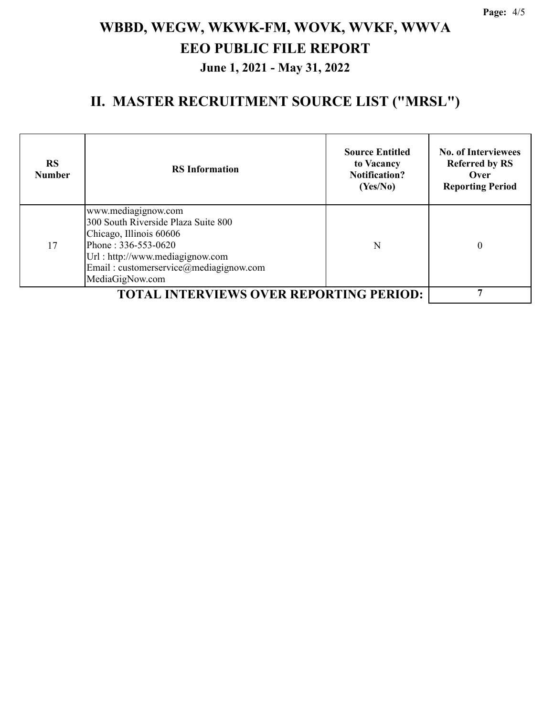### **II. MASTER RECRUITMENT SOURCE LIST ("MRSL")**

| <b>RS</b><br><b>Number</b>                     | <b>RS</b> Information                                                                                                                                                                                        | <b>Source Entitled</b><br>to Vacancy<br><b>Notification?</b><br>(Yes/No) | <b>No. of Interviewees</b><br><b>Referred by RS</b><br>Over<br><b>Reporting Period</b> |
|------------------------------------------------|--------------------------------------------------------------------------------------------------------------------------------------------------------------------------------------------------------------|--------------------------------------------------------------------------|----------------------------------------------------------------------------------------|
| 17                                             | www.mediagignow.com<br>300 South Riverside Plaza Suite 800<br>Chicago, Illinois 60606<br>Phone: 336-553-0620<br>Url: http://www.mediagignow.com<br>Email: customerservice@mediagignow.com<br>MediaGigNow.com | N                                                                        | 0                                                                                      |
| <b>TOTAL INTERVIEWS OVER REPORTING PERIOD:</b> |                                                                                                                                                                                                              |                                                                          |                                                                                        |